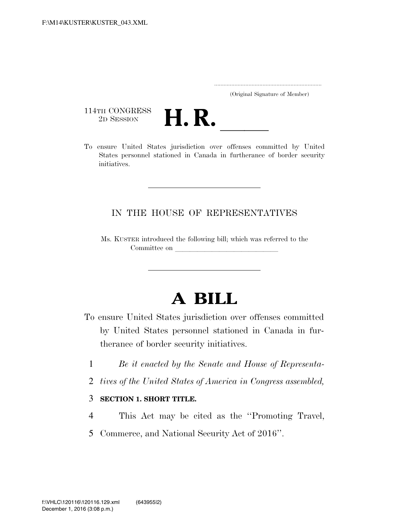..................................................................... (Original Signature of Member)

114TH CONGRESS<br>2D SESSION



THE CONGRESS 2D SESSION **H. R. letter of the States in the United States** jurisdiction over offenses committed by United States personnel stationed in Canada in furtherance of border security initiatives.

## IN THE HOUSE OF REPRESENTATIVES

Ms. KUSTER introduced the following bill; which was referred to the Committee on

## **A BILL**

- To ensure United States jurisdiction over offenses committed by United States personnel stationed in Canada in furtherance of border security initiatives.
	- 1 *Be it enacted by the Senate and House of Representa-*
	- 2 *tives of the United States of America in Congress assembled,*

## 3 **SECTION 1. SHORT TITLE.**

- 4 This Act may be cited as the ''Promoting Travel,
- 5 Commerce, and National Security Act of 2016''.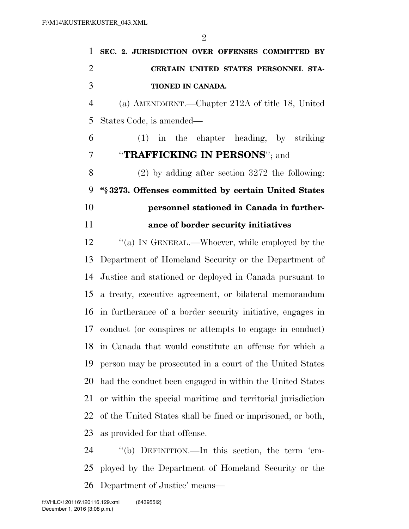| 1              | SEC. 2. JURISDICTION OVER OFFENSES COMMITTED BY             |
|----------------|-------------------------------------------------------------|
| $\overline{2}$ | CERTAIN UNITED STATES PERSONNEL STA-                        |
| 3              | TIONED IN CANADA.                                           |
| $\overline{4}$ | (a) AMENDMENT.—Chapter 212A of title 18, United             |
| 5              | States Code, is amended—                                    |
| 6              | $(1)$ in the chapter heading, by striking                   |
| 7              | "TRAFFICKING IN PERSONS"; and                               |
| 8              | $(2)$ by adding after section 3272 the following:           |
| 9              | "§3273. Offenses committed by certain United States         |
| 10             | personnel stationed in Canada in further-                   |
| 11             | ance of border security initiatives                         |
| 12             | "(a) IN GENERAL.—Whoever, while employed by the             |
| 13             | Department of Homeland Security or the Department of        |
| 14             | Justice and stationed or deployed in Canada pursuant to     |
| 15             | a treaty, executive agreement, or bilateral memorandum      |
| 16             | in furtherance of a border security initiative, engages in  |
| 17             | conduct (or conspires or attempts to engage in conduct)     |
| 18             | in Canada that would constitute an offense for which a      |
| 19             | person may be prosecuted in a court of the United States    |
| 20             | had the conduct been engaged in within the United States    |
| 21             | or within the special maritime and territorial jurisdiction |
| 22             | of the United States shall be fined or imprisoned, or both, |
| 23             | as provided for that offense.                               |
| 24             | "(b) DEFINITION.—In this section, the term 'em-             |
| 25             | ployed by the Department of Homeland Security or the        |
| 26             | Department of Justice' means—                               |